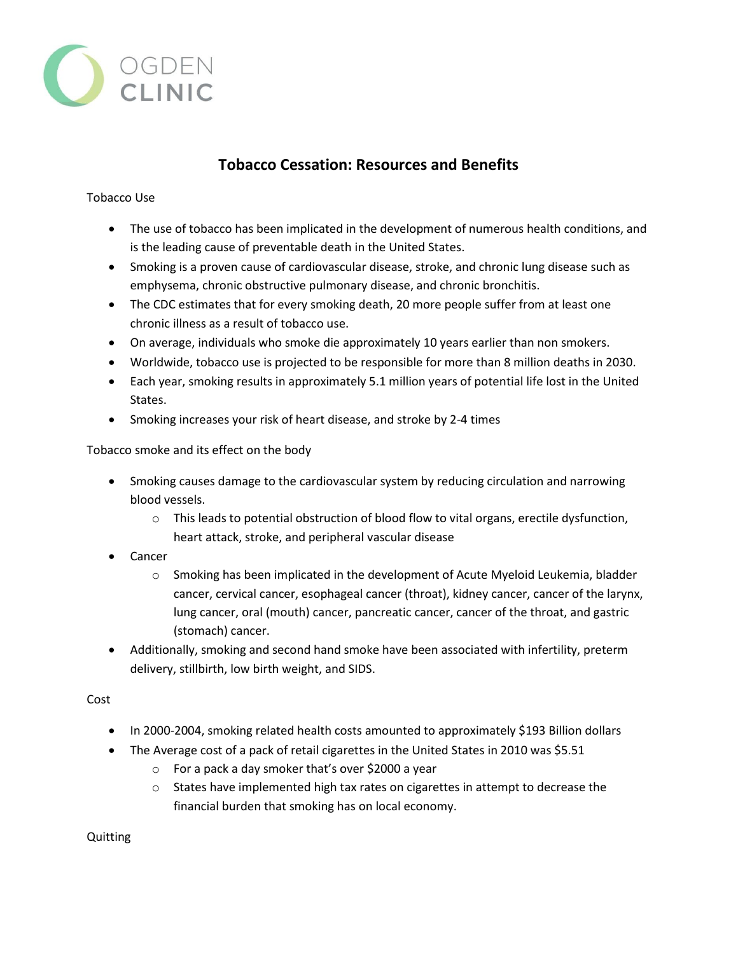

## **Tobacco Cessation: Resources and Benefits**

## Tobacco Use

- The use of tobacco has been implicated in the development of numerous health conditions, and is the leading cause of preventable death in the United States.
- Smoking is a proven cause of cardiovascular disease, stroke, and chronic lung disease such as emphysema, chronic obstructive pulmonary disease, and chronic bronchitis.
- The CDC estimates that for every smoking death, 20 more people suffer from at least one chronic illness as a result of tobacco use.
- On average, individuals who smoke die approximately 10 years earlier than non smokers.
- Worldwide, tobacco use is projected to be responsible for more than 8 million deaths in 2030.
- Each year, smoking results in approximately 5.1 million years of potential life lost in the United States.
- Smoking increases your risk of heart disease, and stroke by 2-4 times

Tobacco smoke and its effect on the body

- Smoking causes damage to the cardiovascular system by reducing circulation and narrowing blood vessels.
	- o This leads to potential obstruction of blood flow to vital organs, erectile dysfunction, heart attack, stroke, and peripheral vascular disease
- Cancer
	- $\circ$  Smoking has been implicated in the development of Acute Myeloid Leukemia, bladder cancer, cervical cancer, esophageal cancer (throat), kidney cancer, cancer of the larynx, lung cancer, oral (mouth) cancer, pancreatic cancer, cancer of the throat, and gastric (stomach) cancer.
- Additionally, smoking and second hand smoke have been associated with infertility, preterm delivery, stillbirth, low birth weight, and SIDS.

Cost

- In 2000-2004, smoking related health costs amounted to approximately \$193 Billion dollars
- The Average cost of a pack of retail cigarettes in the United States in 2010 was \$5.51
	- o For a pack a day smoker that's over \$2000 a year
	- $\circ$  States have implemented high tax rates on cigarettes in attempt to decrease the financial burden that smoking has on local economy.

Quitting